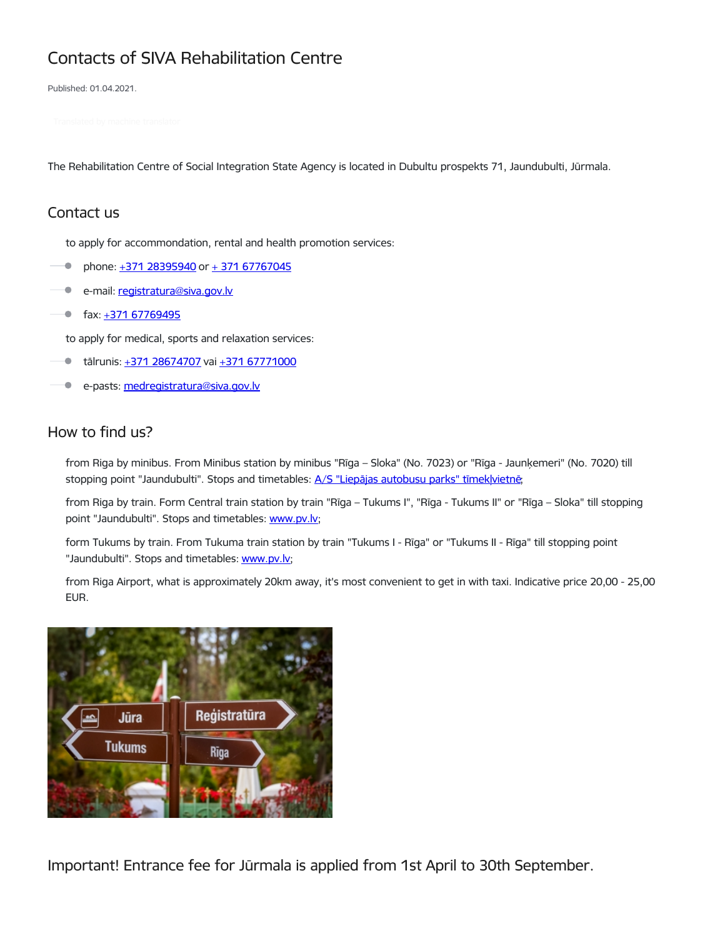# Contacts of SIVA Rehabilitation Centre

Published: 01.04.2021.

The Rehabilitation Centre of Social Integration State Agency is located in Dubultu prospekts 71, Jaundubulti, Jūrmala.

#### Contact us

to apply for accommondation, rental and health promotion services:

- phone: +371 [28395940](tel:+371%2028395940) or + 371 [67767045](tel:+%20371%2067767045)
- $\bullet$ e-mail: <u>[registratura@siva.gov.lv](mailto:registratura@siva.gov.lv)</u>
- fax:  $\pm$ 371 [67769495](tel:+371%2067769495)

to apply for medical, sports and relaxation services:

- $\bullet$  tālrunis:  $\pm$ 371 [28674707](tel:+371%2028674707) vai  $\pm$ 371 [67771000](tel:+371%2067771000)
- e-pasts: [medregistratura@siva.gov.lv](mailto:medregistratura@siva.gov.lv)  $\bullet$

### How to find us?

from Riga by minibus. From Minibus station by minibus "Rīga – Sloka" (No. 7023) or "Rīga - Jaunķemeri" (No. 7020) till stopping point "Jaundubulti". Stops and timetables: A/S "Liepājas autobusu parks" [tīmekļvietnē](https://www.lap.lv/ckfinder/userfiles/files/Reisi_Jurmala_2013_02_01.pdf);

from Riga by train. Form Central train station by train "Rīga – Tukums I", "Rīga - Tukums II" or "Rīga – Sloka" till stopping point "Jaundubulti". Stops and timetables: www.pv.ly;

form Tukums by train. From Tukuma train station by train "Tukums I - Rīga" or "Tukums II - Rīga" till stopping point "Jaundubulti". Stops and timetables: [www.pv.lv](file:///tmp/www.pv.lv);

from Riga Airport, what is approximately 20km away, it's most convenient to get in with taxi. Indicative price 20,00 - 25,00 EUR.



Important! Entrance fee for Jūrmala is applied from 1st April to 30th September.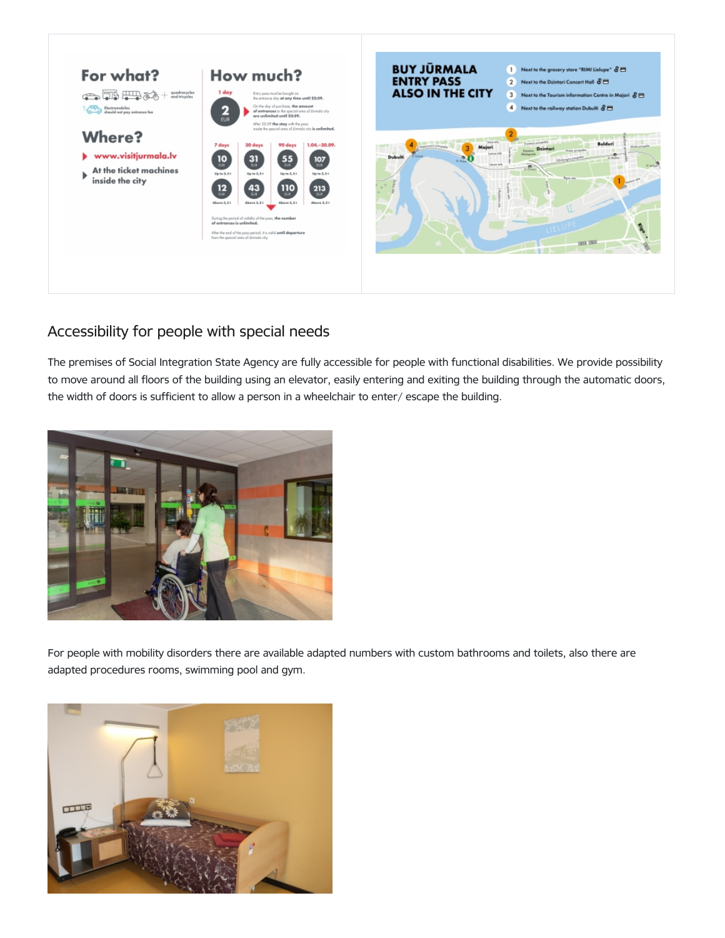

## Accessibility for people with special needs

The premises of Social Integration State Agency are fully accessible for people with functional disabilities. We provide possibility to move around all floors of the building using an elevator, easily entering and exiting the building through the automatic doors, the width of doors is sufficient to allow a person in a wheelchair to enter/ escape the building.



For people with mobility disorders there are available adapted numbers with custom bathrooms and toilets, also there are adapted procedures rooms, swimming pool and gym.